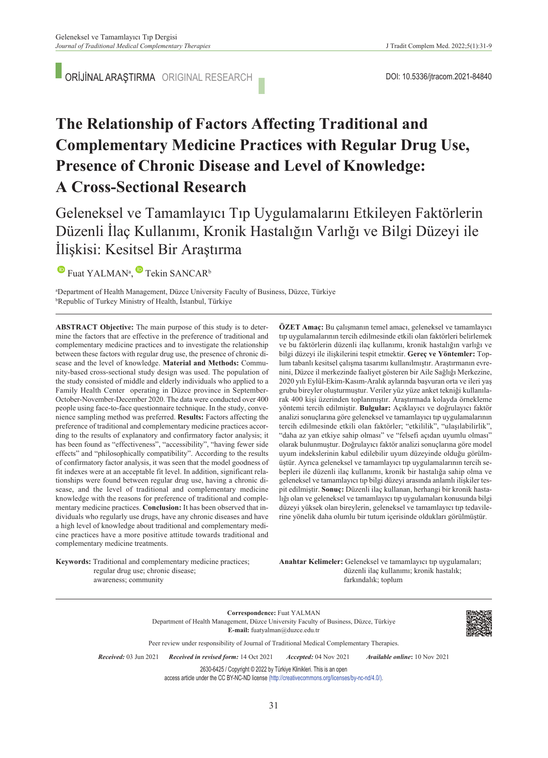ORİJİNAL ARAŞTIRMA ORIGINAL RESEARCH

# **The Relationship of Factors Affecting Traditional and Complementary Medicine Practices with Regular Drug Use, Presence of Chronic Disease and Level of Knowledge: A Cross-Sectional Research**

Geleneksel ve Tamamlayıcı Tıp Uygulamalarını Etkileyen Faktörlerin Düzenli İlaç Kullanımı, Kronik Hastalığın Varlığı ve Bilgi Düzeyi ile İlişkisi: Kesitsel Bir Araştırma

FuatYALMAN<sup>a</sup>, Tekin SANCAR<sup>b</sup>

a Department of Health Management, Düzce University Faculty of Business, Düzce, Türkiye b Republic of Turkey Ministry of Health, İstanbul, Türkiye

**ABS TRACT Objective:** The main purpose of this study is to determine the factors that are effective in the preference of traditional and complementary medicine practices and to investigate the relationship between these factors with regular drug use, the presence of chronic disease and the level of knowledge. **Material and Methods:** Community-based cross-sectional study design was used. The population of the study consisted of middle and elderly individuals who applied to a Family Health Center operating in Düzce province in September-October-November-December 2020. The data were conducted over 400 people using face-to-face questionnaire technique. In the study, convenience sampling method was preferred. **Results:** Factors affecting the preference of traditional and complementary medicine practices according to the results of explanatory and confirmatory factor analysis; it has been found as "effectiveness", "accessibility", "having fewer side effects" and "philosophically compatibility". According to the results of confirmatory factor analysis, it was seen that the model goodness of fit indexes were at an acceptable fit level. In addition, significant relationships were found between regular drug use, having a chronic disease, and the level of traditional and complementary medicine knowledge with the reasons for preference of traditional and complementary medicine practices. **Conclusion:** It has been observed that individuals who regularly use drugs, have any chronic diseases and have a high level of knowledge about traditional and complementary medicine practices have a more positive attitude towards traditional and complementary medicine treatments.

bilgi düzeyi ile ilişkilerini tespit etmektir. **Gereç ve Yöntemler:** Toplum tabanlı kesitsel çalışma tasarımı kullanılmıştır. Araştırmanın evrenini, Düzce il merkezinde faaliyet gösteren bir Aile Sağlığı Merkezine, 2020 yılı Eylül-Ekim-Kasım-Aralık aylarında başvuran orta ve ileri yaş grubu bireyler oluşturmuştur. Veriler yüz yüze anket tekniği kullanılarak 400 kişi üzerinden toplanmıştır. Araştırmada kolayda örnekleme yöntemi tercih edilmiştir. **Bulgular:** Açıklayıcı ve doğrulayıcı faktör analizi sonuçlarına göre geleneksel ve tamamlayıcı tıp uygulamalarının tercih edilmesinde etkili olan faktörler; "etkililik", "ulaşılabilirlik", "daha az yan etkiye sahip olması" ve "felsefi açıdan uyumlu olması" olarak bulunmuştur. Doğrulayıcı faktör analizi sonuçlarına göre model uyum indekslerinin kabul edilebilir uyum düzeyinde olduğu görülmüştür. Ayrıca geleneksel ve tamamlayıcı tıp uygulamalarının tercih sebepleri ile düzenli ilaç kullanımı, kronik bir hastalığa sahip olma ve geleneksel ve tamamlayıcı tıp bilgi düzeyi arasında anlamlı ilişkiler tespit edilmiştir. **Sonuç:** Düzenli ilaç kullanan, herhangi bir kronik hastalığı olan ve geleneksel ve tamamlayıcı tıp uygulamaları konusunda bilgi düzeyi yüksek olan bireylerin, geleneksel ve tamamlayıcı tıp tedavilerine yönelik daha olumlu bir tutum içerisinde oldukları görülmüştür.

**ÖZET Amaç:** Bu çalışmanın temel amacı, geleneksel ve tamamlayıcı tıp uygulamalarının tercih edilmesinde etkili olan faktörleri belirlemek ve bu faktörlerin düzenli ilaç kullanımı, kronik hastalığın varlığı ve

**Keywords:** Traditional and complementary medicine practices; regular drug use; chronic disease; awareness; community

Anahtar Kelimeler: Geleneksel ve tamamlayıcı tıp uygulamaları; düzenli ilaç kullanımı; kronik hastalık; farkındalık; toplum

**Correspondence:** Fuat YALMAN Department of Health Management, Düzce University Faculty of Business, Düzce, Türkiye **E-mail:** fuatyalman@duzce.edu.tr



*Re ce i ved:* 03 Jun 2021 *Received in revised form:* 14 Oct 2021 *Ac cep ted:* 04 Nov 2021 *Available online***:** 10 Nov 2021

2630-6425 / Copyright © 2022 by Türkiye Klinikleri. This is an open

Peer review under responsibility of Journal of Traditional Medical Complementary Therapies.

access article under the CC BY-NC-ND license [\(http://creativecommons.org/licenses/by-nc-nd/4.0/\)](https://creativecommons.org/licenses/by-nc-nd/4.0/).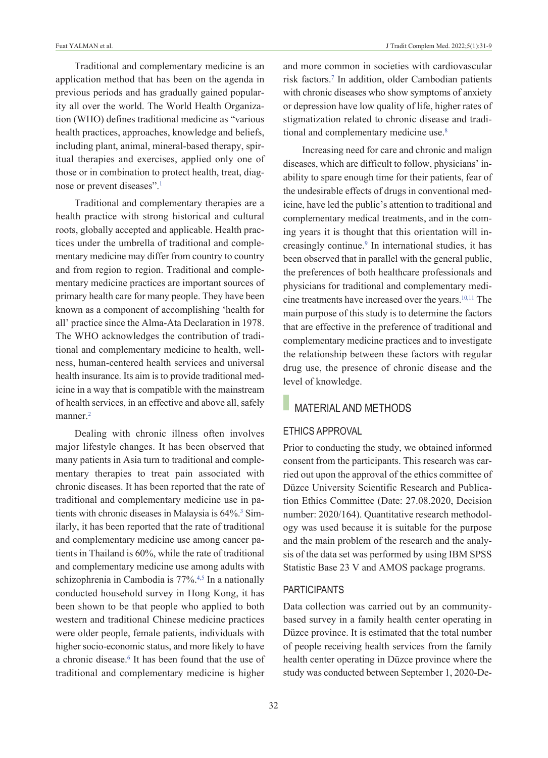Traditional and complementary medicine is an application method that has been on the agenda in previous periods and has gradually gained popularity all over the world. The World Health Organization (WHO) defines traditional medicine as "various health practices, approaches, knowledge and beliefs, including plant, animal, mineral-based therapy, spiritual therapies and exercises, applied only one of those or in combination to protect health, treat, diagnose or prevent diseases".<sup>1</sup>

Traditional and complementary therapies are a health practice with strong historical and cultural roots, globally accepted and applicable. Health practices under the umbrella of traditional and complementary medicine may differ from country to country and from region to region. Traditional and complementary medicine practices are important sources of primary health care for many people. They have been known as a component of accomplishing 'health for all' practice since the Alma-Ata Declaration in 1978. The WHO acknowledges the contribution of traditional and complementary medicine to health, wellness, human-centered health services and universal health insurance. Its aim is to provide traditional medicine in a way that is compatible with the mainstream of health services, in an effective and above all, safely manner.<sup>2</sup>

Dealing with chronic illness often involves major lifestyle changes. It has been observed that many patients in Asia turn to traditional and complementary therapies to treat pain associated with chronic diseases. It has been reported that the rate of traditional and complementary medicine use in patients with chronic diseases in Malaysia is 64%.<sup>3</sup> Similarly, it has been reported that the rate of traditional and complementary medicine use among cancer patients in Thailand is 60%, while the rate of traditional and complementary medicine use among adults with schizophrenia in Cambodia is 77%.<sup>4,5</sup> In a nationally conducted household survey in Hong Kong, it has been shown to be that people who applied to both western and traditional Chinese medicine practices were older people, female patients, individuals with higher socio-economic status, and more likely to have a chronic disease.<sup>6</sup> It has been found that the use of traditional and complementary medicine is higher

and more common in societies with cardiovascular risk factors[.7](#page-8-0) In addition, older Cambodian patients with chronic diseases who show symptoms of anxiety or depression have low quality of life, higher rates of stigmatization related to chronic disease and traditional and complementary medicine use.<sup>8</sup>

Increasing need for care and chronic and malign diseases, which are difficult to follow, physicians' inability to spare enough time for their patients, fear of the undesirable effects of drugs in conventional medicine, have led the public's attention to traditional and complementary medical treatments, and in the coming years it is thought that this orientation will increasingly continue.<sup>9</sup> In international studies, it has been observed that in parallel with the general public, the preferences of both healthcare professionals and physicians for traditional and complementary medicine treatments have increased over the years.<sup>10,11</sup> The main purpose of this study is to determine the factors that are effective in the preference of traditional and complementary medicine practices and to investigate the relationship between these factors with regular drug use, the presence of chronic disease and the level of knowledge.

# **MATERIAL AND METHODS**

## ETHICS AppROvAL

Prior to conducting the study, we obtained informed consent from the participants. This research was carried out upon the approval of the ethics committee of Düzce University Scientific Research and Publication Ethics Committee (Date: 27.08.2020, Decision number: 2020/164). Quantitative research methodology was used because it is suitable for the purpose and the main problem of the research and the analysis of the data set was performed by using IBM SPSS Statistic Base 23 V and AMOS package programs.

#### **PARTICIPANTS**

Data collection was carried out by an communitybased survey in a family health center operating in Düzce province. It is estimated that the total number of people receiving health services from the family health center operating in Düzce province where the study was conducted between September 1, 2020-De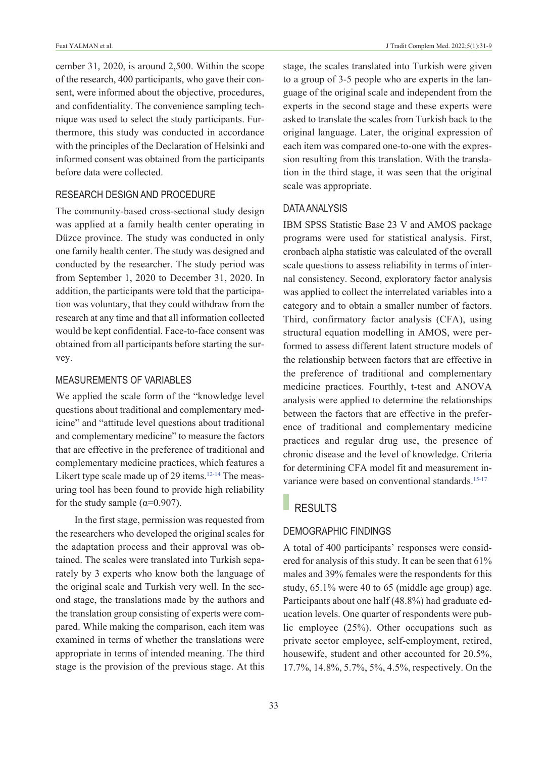cember 31, 2020, is around 2,500. Within the scope of the research, 400 participants, who gave their consent, were informed about the objective, procedures, and confidentiality. The convenience sampling technique was used to select the study participants. Furthermore, this study was conducted in accordance with the principles of the Declaration of Helsinki and informed consent was obtained from the participants before data were collected.

## RESEARCH DESIGN AND pROCEDuRE

The community-based cross-sectional study design was applied at a family health center operating in Düzce province. The study was conducted in only one family health center. The study was designed and conducted by the researcher. The study period was from September 1, 2020 to December 31, 2020. In addition, the participants were told that the participation was voluntary, that they could withdraw from the research at any time and that all information collected would be kept confidential. Face-to-face consent was obtained from all participants before starting the survey.

## MEASuREMENTS Of vARIABLES

We applied the scale form of the "knowledge level questions about traditional and complementary medicine" and "attitude level questions about traditional and complementary medicine" to measure the factors that are effective in the preference of traditional and complementary medicine practices, which features a Likert type scale made up of 29 items.<sup>12-14</sup> [T](#page-8-0)he measuring tool has been found to provide high reliability for the study sample ( $\alpha$ =0.907).

In the first stage, permission was requested from the researchers who developed the original scales for the adaptation process and their approval was obtained. The scales were translated into Turkish separately by 3 experts who know both the language of the original scale and Turkish very well. In the second stage, the translations made by the authors and the translation group consisting of experts were compared. While making the comparison, each item was examined in terms of whether the translations were appropriate in terms of intended meaning. The third stage is the provision of the previous stage. At this

stage, the scales translated into Turkish were given to a group of 3-5 people who are experts in the language of the original scale and independent from the experts in the second stage and these experts were asked to translate the scales from Turkish back to the original language. Later, the original expression of each item was compared one-to-one with the expression resulting from this translation. With the translation in the third stage, it was seen that the original scale was appropriate.

#### DATA ANALYSIS

IBM SPSS Statistic Base 23 V and AMOS package programs were used for statistical analysis. First, cronbach alpha statistic was calculated of the overall scale questions to assess reliability in terms of internal consistency. Second, exploratory factor analysis was applied to collect the interrelated variables into a category and to obtain a smaller number of factors. Third, confirmatory factor analysis (CFA), using structural equation modelling in AMOS, were performed to assess different latent structure models of the relationship between factors that are effective in the preference of traditional and complementary medicine practices. Fourthly, t-test and ANOVA analysis were applied to determine the relationships between the factors that are effective in the preference of traditional and complementary medicine practices and regular drug use, the presence of chronic disease and the level of knowledge. Criteria for determining CFA model fit and measurement invariance were based on conventional standards.<sup>15-17</sup>

# RESULTS

#### DEMOGRApHIC fINDINGS

A total of 400 participants' responses were considered for analysis of this study. It can be seen that 61% males and 39% females were the respondents for this study, 65.1% were 40 to 65 (middle age group) age. Participants about one half (48.8%) had graduate education levels. One quarter of respondents were public employee (25%). Other occupations such as private sector employee, self-employment, retired, housewife, student and other accounted for 20.5%, 17.7%, 14.8%, 5.7%, 5%, 4.5%, respectively. On the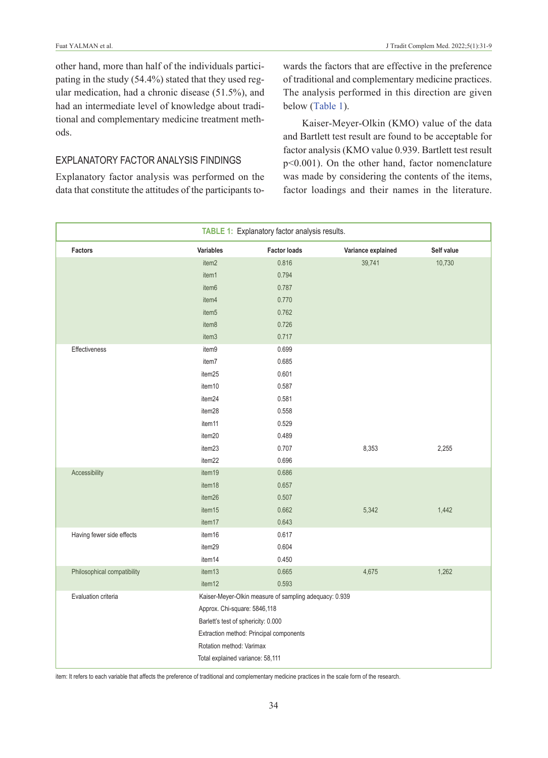other hand, more than half of the individuals participating in the study (54.4%) stated that they used regular medication, had a chronic disease (51.5%), and had an intermediate level of knowledge about traditional and complementary medicine treatment methods.

#### ExpLANATORY fACTOR ANALYSIS fINDINGS

Explanatory factor analysis was performed on the data that constitute the attitudes of the participants towards the factors that are effective in the preference of traditional and complementary medicine practices. The analysis performed in this direction are given below [\(Table 1\)](#page-3-0).

<span id="page-3-0"></span>Kaiser-Meyer-Olkin (KMO) value of the data and Bartlett test result are found to be acceptable for factor analysis (KMO value 0.939. Bartlett test result p<0.001). On the other hand, factor nomenclature was made by considering the contents of the items, factor loadings and their names in the literature.

| TABLE 1: Explanatory factor analysis results. |                                                                                                         |                                                        |                    |            |  |  |  |
|-----------------------------------------------|---------------------------------------------------------------------------------------------------------|--------------------------------------------------------|--------------------|------------|--|--|--|
| Factors                                       | <b>Variables</b>                                                                                        | <b>Factor loads</b>                                    | Variance explained | Self value |  |  |  |
|                                               | item <sub>2</sub>                                                                                       | 0.816                                                  | 39,741             | 10,730     |  |  |  |
|                                               | item1                                                                                                   | 0.794                                                  |                    |            |  |  |  |
|                                               | item <sub>6</sub>                                                                                       | 0.787                                                  |                    |            |  |  |  |
|                                               | item4                                                                                                   | 0.770                                                  |                    |            |  |  |  |
|                                               | item <sub>5</sub>                                                                                       | 0.762                                                  |                    |            |  |  |  |
|                                               | item <sub>8</sub>                                                                                       | 0.726                                                  |                    |            |  |  |  |
|                                               | item3                                                                                                   | 0.717                                                  |                    |            |  |  |  |
| Effectiveness                                 | item9                                                                                                   | 0.699                                                  |                    |            |  |  |  |
|                                               | item7                                                                                                   | 0.685                                                  |                    |            |  |  |  |
|                                               | item25                                                                                                  | 0.601                                                  |                    |            |  |  |  |
|                                               | item10                                                                                                  | 0.587                                                  |                    |            |  |  |  |
|                                               | item24                                                                                                  | 0.581                                                  |                    |            |  |  |  |
|                                               | item28                                                                                                  | 0.558                                                  |                    |            |  |  |  |
|                                               | item11                                                                                                  | 0.529                                                  |                    |            |  |  |  |
|                                               | item20                                                                                                  | 0.489                                                  |                    |            |  |  |  |
|                                               | item23                                                                                                  | 0.707                                                  | 8,353              | 2,255      |  |  |  |
|                                               | item22                                                                                                  | 0.696                                                  |                    |            |  |  |  |
| Accessibility                                 | item19                                                                                                  | 0.686                                                  |                    |            |  |  |  |
|                                               | item18                                                                                                  | 0.657                                                  |                    |            |  |  |  |
|                                               | item26                                                                                                  | 0.507                                                  |                    |            |  |  |  |
|                                               | item15                                                                                                  | 0.662                                                  | 5,342              | 1,442      |  |  |  |
|                                               | item17                                                                                                  | 0.643                                                  |                    |            |  |  |  |
| Having fewer side effects                     | item16                                                                                                  | 0.617                                                  |                    |            |  |  |  |
|                                               | item29                                                                                                  | 0.604                                                  |                    |            |  |  |  |
|                                               | item14                                                                                                  | 0.450                                                  |                    |            |  |  |  |
| Philosophical compatibility                   | item13                                                                                                  | 0.665                                                  | 4,675              | 1,262      |  |  |  |
|                                               | item12                                                                                                  | 0.593                                                  |                    |            |  |  |  |
| Evaluation criteria                           |                                                                                                         | Kaiser-Meyer-Olkin measure of sampling adequacy: 0.939 |                    |            |  |  |  |
|                                               | Approx. Chi-square: 5846,118                                                                            |                                                        |                    |            |  |  |  |
|                                               | Barlett's test of sphericity: 0.000                                                                     |                                                        |                    |            |  |  |  |
|                                               | Extraction method: Principal components<br>Rotation method: Varimax<br>Total explained variance: 58,111 |                                                        |                    |            |  |  |  |
|                                               |                                                                                                         |                                                        |                    |            |  |  |  |
|                                               |                                                                                                         |                                                        |                    |            |  |  |  |

item: It refers to each variable that affects the preference of traditional and complementary medicine practices in the scale form of the research.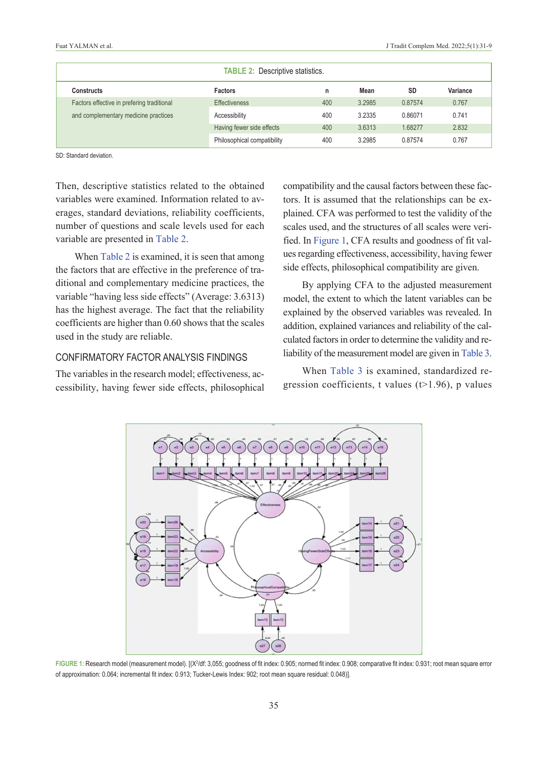| <b>TABLE 2: Descriptive statistics.</b>    |                             |     |        |           |          |  |  |
|--------------------------------------------|-----------------------------|-----|--------|-----------|----------|--|--|
| Constructs                                 | <b>Factors</b>              | n   | Mean   | <b>SD</b> | Variance |  |  |
| Factors effective in prefering traditional | <b>Effectiveness</b>        | 400 | 3.2985 | 0.87574   | 0.767    |  |  |
| and complementary medicine practices       | Accessibility               | 400 | 3.2335 | 0.86071   | 0.741    |  |  |
|                                            | Having fewer side effects   | 400 | 3.6313 | 1.68277   | 2.832    |  |  |
|                                            | Philosophical compatibility | 400 | 3.2985 | 0.87574   | 0.767    |  |  |

SD: Standard deviation.

Then, descriptive statistics related to the obtained variables were examined. Information related to averages, standard deviations, reliability coefficients, number of questions and scale levels used for each variable are presented in [Table 2.](#page-4-0)

When [Table 2](#page-4-0) is examined, it is seen that among the factors that are effective in the preference of traditional and complementary medicine practices, the variable "having less side effects" (Average: 3.6313) has the highest average. The fact that the reliability coefficients are higher than 0.60 shows that the scales used in the study are reliable.

## CONfIRMATORY fACTOR ANALYSIS fINDINGS

The variables in the research model; effectiveness, accessibility, having fewer side effects, philosophical <span id="page-4-0"></span>compatibility and the causal factors between these factors. It is assumed that the relationships can be explained. CFA was performed to test the validity of the scales used, and the structures of all scales were verified. In [Figure 1,](#page-4-1) CFA results and goodness of fit values regarding effectiveness, accessibility, having fewer side effects, philosophical compatibility are given.

By applying CFA to the adjusted measurement model, the extent to which the latent variables can be explained by the observed variables was revealed. In addition, explained variances and reliability of the calculated factors in order to determine the validity and reliability of the measurement model are given in [Table 3.](#page-5-0)

<span id="page-4-1"></span>When [Table 3](#page-5-0) is examined, standardized regression coefficients, t values  $(t>1.96)$ , p values



FIGURE 1: Research model (measurement model). [(X<sup>2</sup>/df: 3,055; goodness of fit index: 0.905; normed fit index: 0.908; comparative fit index: 0.931; root mean square error of approximation: 0.064; incremental fit index: 0.913; Tucker-Lewis Index: 902; root mean square residual: 0.048)].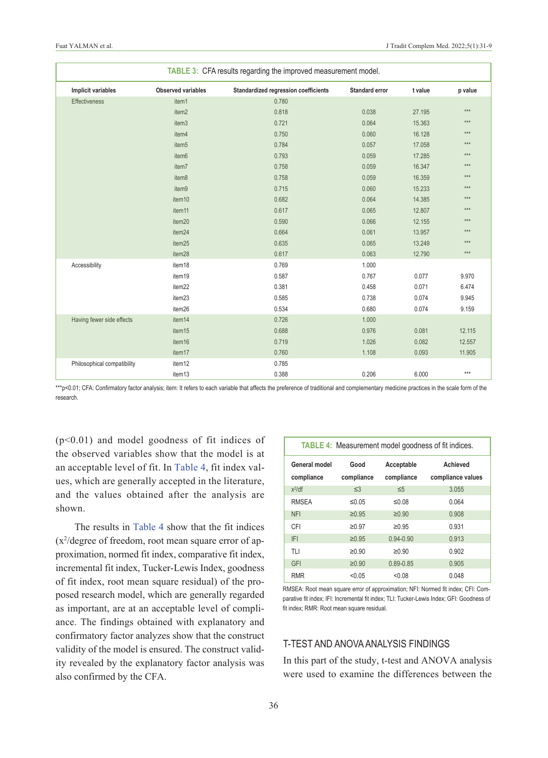| TABLE 3: CFA results regarding the improved measurement model. |                           |                                      |                       |         |         |  |  |
|----------------------------------------------------------------|---------------------------|--------------------------------------|-----------------------|---------|---------|--|--|
| Implicit variables                                             | <b>Observed variables</b> | Standardized regression coefficients | <b>Standard error</b> | t value | p value |  |  |
| Effectiveness                                                  | item1                     | 0.780                                |                       |         |         |  |  |
|                                                                | item2                     | 0.818                                | 0.038                 | 27.195  | $***$   |  |  |
|                                                                | item3                     | 0.721                                | 0.064                 | 15.363  | $***$   |  |  |
|                                                                | item4                     | 0.750                                | 0.060                 | 16.128  | $***$   |  |  |
|                                                                | item <sub>5</sub>         | 0.784                                | 0.057                 | 17.058  | $***$   |  |  |
|                                                                | item6                     | 0.793                                | 0.059                 | 17.285  | $***$   |  |  |
|                                                                | item7                     | 0.758                                | 0.059                 | 16.347  | $***$   |  |  |
|                                                                | item8                     | 0.758                                | 0.059                 | 16.359  | $***$   |  |  |
|                                                                | item9                     | 0.715                                | 0.060                 | 15.233  | ***     |  |  |
|                                                                | item10                    | 0.682                                | 0.064                 | 14.385  | $***$   |  |  |
|                                                                | item11                    | 0.617                                | 0.065                 | 12.807  | ***     |  |  |
|                                                                | item20                    | 0.590                                | 0.066                 | 12.155  | $***$   |  |  |
|                                                                | item24                    | 0.664                                | 0.061                 | 13.957  | $***$   |  |  |
|                                                                | item25                    | 0.635                                | 0.065                 | 13.249  | $***$   |  |  |
|                                                                | item28                    | 0.617                                | 0.063                 | 12.790  | $***$   |  |  |
| Accessibility                                                  | item18                    | 0.769                                | 1.000                 |         |         |  |  |
|                                                                | item19                    | 0.587                                | 0.767                 | 0.077   | 9.970   |  |  |
|                                                                | item22                    | 0.381                                | 0.458                 | 0.071   | 6.474   |  |  |
|                                                                | item23                    | 0.585                                | 0.738                 | 0.074   | 9.945   |  |  |
|                                                                | item26                    | 0.534                                | 0.680                 | 0.074   | 9.159   |  |  |
| Having fewer side effects                                      | item14                    | 0.726                                | 1.000                 |         |         |  |  |
|                                                                | item15                    | 0.688                                | 0.976                 | 0.081   | 12.115  |  |  |
|                                                                | item16                    | 0.719                                | 1.026                 | 0.082   | 12.557  |  |  |
|                                                                | item17                    | 0.760                                | 1.108                 | 0.093   | 11.905  |  |  |
| Philosophical compatibility                                    | item12                    | 0.785                                |                       |         |         |  |  |
|                                                                | item13                    | 0.388                                | 0.206                 | 6.000   | $***$   |  |  |

\*\*\*p<0.01; CFA: Confirmatory factor analysis; item: It refers to each variable that affects the preference of traditional and complementary medicine practices in the scale form of the research.

 $(p<0.01)$  and model goodness of fit indices of the observed variables show that the model is at an acceptable level of fit. In [Table 4,](#page-5-1) fit index values, which are generally accepted in the literature, and the values obtained after the analysis are shown.

The results in [Table 4](#page-5-1) show that the fit indices (x2 /degree of freedom, root mean square error of approximation, normed fit index, comparative fit index, incremental fit index, Tucker-Lewis Index, goodness of fit index, root mean square residual) of the proposed research model, which are generally regarded as important, are at an acceptable level of compliance. The findings obtained with explanatory and confirmatory factor analyzes show that the construct validity of the model is ensured. The construct validity revealed by the explanatory factor analysis was also confirmed by the CFA.

<span id="page-5-1"></span><span id="page-5-0"></span>

| <b>TABLE 4: Measurement model goodness of fit indices.</b> |                    |                          |                               |  |  |  |
|------------------------------------------------------------|--------------------|--------------------------|-------------------------------|--|--|--|
| General model<br>compliance                                | Good<br>compliance | Acceptable<br>compliance | Achieved<br>compliance values |  |  |  |
| $x^2$ /df                                                  | $\leq$ 3           | $\leq 5$                 | 3.055                         |  |  |  |
| <b>RMSEA</b>                                               | ≤0.05              | ≤0.08                    | 0.064                         |  |  |  |
| <b>NFI</b>                                                 | $\geq 0.95$        | $\geq 0.90$              | 0.908                         |  |  |  |
| CFI                                                        | ≥0.97              | ≥0.95                    | 0.931                         |  |  |  |
| <b>IFI</b>                                                 | $\geq 0.95$        | $0.94 - 0.90$            | 0.913                         |  |  |  |
| TLI                                                        | $\geq 0.90$        | $\geq 0.90$              | 0.902                         |  |  |  |
| GFI                                                        | $\geq 0.90$        | $0.89 - 0.85$            | 0.905                         |  |  |  |
| <b>RMR</b>                                                 | < 0.05             | < 0.08                   | 0.048                         |  |  |  |

RMSEA: Root mean square error of approximation; NFI: Normed fit index; CFI: Comparative fit index; IFI: Incremental fit index; TLI: Tucker-Lewis Index; GFI: Goodness of fit index; RMR: Root mean square residual.

## T-TEST AND ANOvA ANALYSIS fINDINGS

In this part of the study, t-test and ANOVA analysis were used to examine the differences between the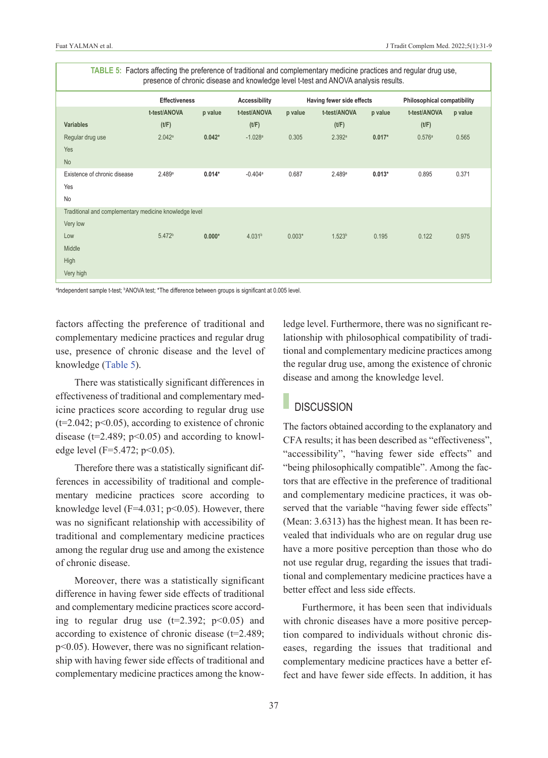| TABLE 5: Factors affecting the preference of traditional and complementary medicine practices and regular drug use,<br>presence of chronic disease and knowledge level t-test and ANOVA analysis results. |                      |          |                       |          |                           |          |                             |         |  |
|-----------------------------------------------------------------------------------------------------------------------------------------------------------------------------------------------------------|----------------------|----------|-----------------------|----------|---------------------------|----------|-----------------------------|---------|--|
|                                                                                                                                                                                                           | <b>Effectiveness</b> |          | Accessibility         |          | Having fewer side effects |          | Philosophical compatibility |         |  |
|                                                                                                                                                                                                           | t-test/ANOVA         | p value  | t-test/ANOVA          | p value  | t-test/ANOVA              | p value  | t-test/ANOVA                | p value |  |
| <b>Variables</b>                                                                                                                                                                                          | (t/F)                |          | (t/F)                 |          | (t/F)                     |          | (t/F)                       |         |  |
| Regular drug use                                                                                                                                                                                          | 2.042a               | $0.042*$ | $-1.028a$             | 0.305    | 2.392a                    | $0.017*$ | 0.576a                      | 0.565   |  |
| Yes                                                                                                                                                                                                       |                      |          |                       |          |                           |          |                             |         |  |
| <b>No</b>                                                                                                                                                                                                 |                      |          |                       |          |                           |          |                             |         |  |
| Existence of chronic disease                                                                                                                                                                              | 2.489a               | $0.014*$ | $-0.404$ <sup>a</sup> | 0.687    | 2.489a                    | $0.013*$ | 0.895                       | 0.371   |  |
| Yes                                                                                                                                                                                                       |                      |          |                       |          |                           |          |                             |         |  |
| No                                                                                                                                                                                                        |                      |          |                       |          |                           |          |                             |         |  |
| Traditional and complementary medicine knowledge level                                                                                                                                                    |                      |          |                       |          |                           |          |                             |         |  |
| Very low                                                                                                                                                                                                  |                      |          |                       |          |                           |          |                             |         |  |
| Low                                                                                                                                                                                                       | 5.472 <sup>b</sup>   | $0.000*$ | 4.031 <sup>b</sup>    | $0.003*$ | 1.523 <sup>b</sup>        | 0.195    | 0.122                       | 0.975   |  |
| Middle                                                                                                                                                                                                    |                      |          |                       |          |                           |          |                             |         |  |
| High                                                                                                                                                                                                      |                      |          |                       |          |                           |          |                             |         |  |
| Very high                                                                                                                                                                                                 |                      |          |                       |          |                           |          |                             |         |  |

<sup>a</sup>Independent sample t-test; <sup>b</sup>ANOVA test; \*The difference between groups is significant at 0.005 level.

factors affecting the preference of traditional and complementary medicine practices and regular drug use, presence of chronic disease and the level of knowledge [\(Table 5\)](#page-6-0).

There was statistically significant differences in effectiveness of traditional and complementary medicine practices score according to regular drug use  $(t=2.042; p<0.05)$ , according to existence of chronic disease ( $t=2.489$ ;  $p<0.05$ ) and according to knowledge level (F=5.472; p<0.05).

Therefore there was a statistically significant differences in accessibility of traditional and complementary medicine practices score according to knowledge level ( $F=4.031$ ;  $p<0.05$ ). However, there was no significant relationship with accessibility of traditional and complementary medicine practices among the regular drug use and among the existence of chronic disease.

Moreover, there was a statistically significant difference in having fewer side effects of traditional and complementary medicine practices score according to regular drug use  $(t=2.392; p<0.05)$  and according to existence of chronic disease (t=2.489; p<0.05). However, there was no significant relationship with having fewer side effects of traditional and complementary medicine practices among the know<span id="page-6-0"></span>ledge level. Furthermore, there was no significant relationship with philosophical compatibility of traditional and complementary medicine practices among the regular drug use, among the existence of chronic disease and among the knowledge level.

# **DISCUSSION**

The factors obtained according to the explanatory and CFA results; it has been described as "effectiveness", "accessibility", "having fewer side effects" and "being philosophically compatible". Among the factors that are effective in the preference of traditional and complementary medicine practices, it was observed that the variable "having fewer side effects" (Mean: 3.6313) has the highest mean. It has been revealed that individuals who are on regular drug use have a more positive perception than those who do not use regular drug, regarding the issues that traditional and complementary medicine practices have a better effect and less side effects.

Furthermore, it has been seen that individuals with chronic diseases have a more positive perception compared to individuals without chronic diseases, regarding the issues that traditional and complementary medicine practices have a better effect and have fewer side effects. In addition, it has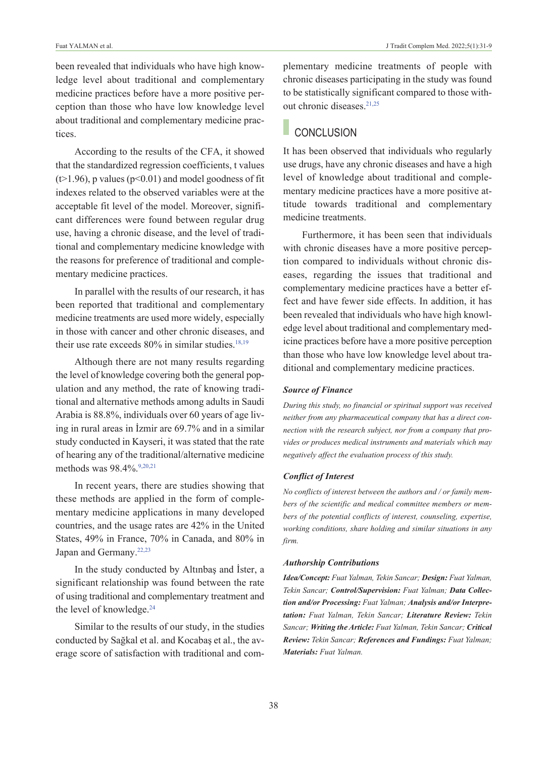been revealed that individuals who have high knowledge level about traditional and complementary medicine practices before have a more positive perception than those who have low knowledge level about traditional and complementary medicine practices.

According to the results of the CFA, it showed that the standardized regression coefficients, t values  $(\geq 1.96)$ , p values ( $p \leq 0.01$ ) and model goodness of fit indexes related to the observed variables were at the acceptable fit level of the model. Moreover, significant differences were found between regular drug use, having a chronic disease, and the level of traditional and complementary medicine knowledge with the reasons for preference of traditional and complementary medicine practices.

In parallel with the results of our research, it has been reported that traditional and complementary medicine treatments are used more widely, especially in those with cancer and other chronic diseases, and their use rate exceeds  $80\%$  in similar studies.<sup>18,19</sup>

Although there are not many results regarding the level of knowledge covering both the general population and any method, the rate of knowing traditional and alternative methods among adults in Saudi Arabia is 88.8%, individuals over 60 years of age living in rural areas in İzmir are 69.7% and in a similar study conducted in Kayseri, it was stated that the rate of hearing any of the traditional/alternative medicine methods was 98.4% 9,20,21

In recent years, there are studies showing that these methods are applied in the form of complementary medicine applications in many developed countries, and the usage rates are 42% in the United States, 49% in France, 70% in Canada, and 80% in Japan and Germany[.22,23](#page-8-0)

In the study conducted by Altınbaş and İster, a significant relationship was found between the rate of using traditional and complementary treatment and the level of knowledge.<sup>24</sup>

Similar to the results of our study, in the studies conducted by Sağkal et al. and Kocabaş et al., the average score of satisfaction with traditional and complementary medicine treatments of people with chronic diseases participating in the study was found to be statistically significant compared to those without chronic diseases.<sup>21,25</sup>

# **CONCLUSION**

It has been observed that individuals who regularly use drugs, have any chronic diseases and have a high level of knowledge about traditional and complementary medicine practices have a more positive attitude towards traditional and complementary medicine treatments.

Furthermore, it has been seen that individuals with chronic diseases have a more positive perception compared to individuals without chronic diseases, regarding the issues that traditional and complementary medicine practices have a better effect and have fewer side effects. In addition, it has been revealed that individuals who have high knowledge level about traditional and complementary medicine practices before have a more positive perception than those who have low knowledge level about traditional and complementary medicine practices.

#### *Source of Finance*

*During this study, no financial or spiritual support was received neither from any pharmaceutical company that has a direct connection with the research subject, nor from a company that provides or produces medical instruments and materials which may negatively affect the evaluation process of this study.* 

#### *Conflict of Interest*

*No conflicts of interest between the authors and / or family members of the scientific and medical committee members or members of the potential conflicts of interest, counseling, expertise, working conditions, share holding and similar situations in any firm.* 

#### *Authorship Contributions*

*Idea/Concept: Fuat Yalman, Tekin Sancar; Design: Fuat Yalman, Tekin Sancar; Control/Supervision: Fuat Yalman; Data Collection and/or Processing: Fuat Yalman; Analysis and/or Interpretation: Fuat Yalman, Tekin Sancar; Literature Review: Tekin Sancar; Writing the Article: Fuat Yalman, Tekin Sancar; Critical Review: Tekin Sancar; References and Fundings: Fuat Yalman; Materials: Fuat Yalman.*